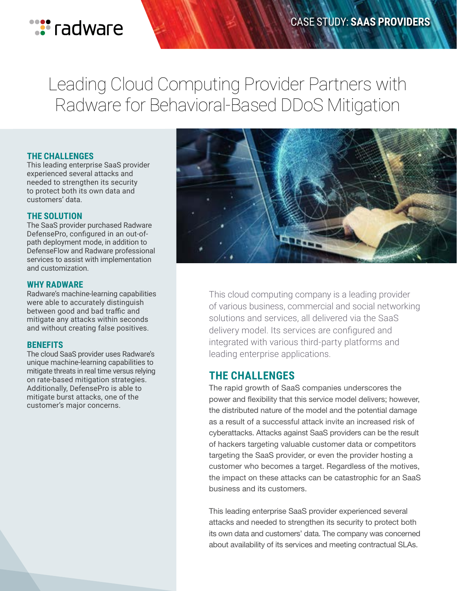

# Leading Cloud Computing Provider Partners with Radware for Behavioral-Based DDoS Mitigation

#### **THE CHALLENGES**

This leading enterprise SaaS provider experienced several attacks and needed to strengthen its security to protect both its own data and customers' data.

#### **THE SOLUTION**

The SaaS provider purchased Radware DefensePro, configured in an out-ofpath deployment mode, in addition to DefenseFlow and Radware professional services to assist with implementation and customization.

#### **WHY RADWARE**

Radware's machine-learning capabilities were able to accurately distinguish between good and bad traffic and mitigate any attacks within seconds and without creating false positives.

#### **BENEFITS**

The cloud SaaS provider uses Radware's unique machine-learning capabilities to mitigate threats in real time versus relying on rate-based mitigation strategies. Additionally, DefensePro is able to mitigate burst attacks, one of the customer's major concerns.



This cloud computing company is a leading provider of various business, commercial and social networking solutions and services, all delivered via the SaaS delivery model. Its services are configured and integrated with various third-party platforms and leading enterprise applications.

### **THE CHALLENGES**

The rapid growth of SaaS companies underscores the power and flexibility that this service model delivers; however, the distributed nature of the model and the potential damage as a result of a successful attack invite an increased risk of cyberattacks. Attacks against SaaS providers can be the result of hackers targeting valuable customer data or competitors targeting the SaaS provider, or even the provider hosting a customer who becomes a target. Regardless of the motives, the impact on these attacks can be catastrophic for an SaaS business and its customers.

This leading enterprise SaaS provider experienced several attacks and needed to strengthen its security to protect both its own data and customers' data. The company was concerned about availability of its services and meeting contractual SLAs.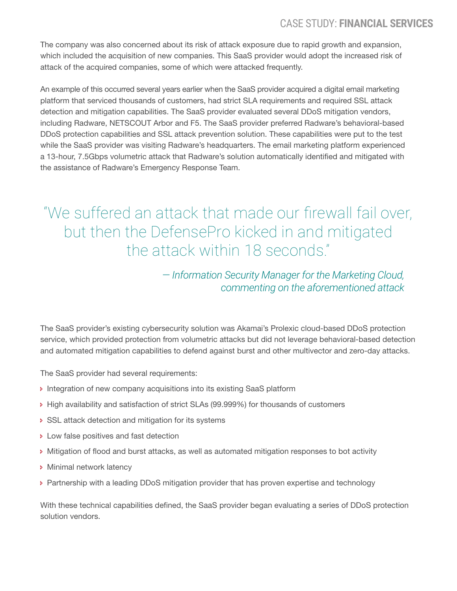The company was also concerned about its risk of attack exposure due to rapid growth and expansion, which included the acquisition of new companies. This SaaS provider would adopt the increased risk of attack of the acquired companies, some of which were attacked frequently.

An example of this occurred several years earlier when the SaaS provider acquired a digital email marketing platform that serviced thousands of customers, had strict SLA requirements and required SSL attack detection and mitigation capabilities. The SaaS provider evaluated several DDoS mitigation vendors, including Radware, NETSCOUT Arbor and F5. The SaaS provider preferred Radware's behavioral-based DDoS protection capabilities and SSL attack prevention solution. These capabilities were put to the test while the SaaS provider was visiting Radware's headquarters. The email marketing platform experienced a 13-hour, 7.5Gbps volumetric attack that Radware's solution automatically identified and mitigated with the assistance of Radware's Emergency Response Team.

"We suffered an attack that made our firewall fail over, but then the DefensePro kicked in and mitigated the attack within 18 seconds."

# *— Information Security Manager for the Marketing Cloud, commenting on the aforementioned attack*

The SaaS provider's existing cybersecurity solution was Akamai's Prolexic cloud-based DDoS protection service, which provided protection from volumetric attacks but did not leverage behavioral-based detection and automated mitigation capabilities to defend against burst and other multivector and zero-day attacks.

The SaaS provider had several requirements:

- **Integration of new company acquisitions into its existing SaaS platform**
- High availability and satisfaction of strict SLAs (99.999%) for thousands of customers
- SSL attack detection and mitigation for its systems
- **Low false positives and fast detection**
- Mitigation of flood and burst attacks, as well as automated mitigation responses to bot activity
- **Minimal network latency**
- Partnership with a leading DDoS mitigation provider that has proven expertise and technology

With these technical capabilities defined, the SaaS provider began evaluating a series of DDoS protection solution vendors.